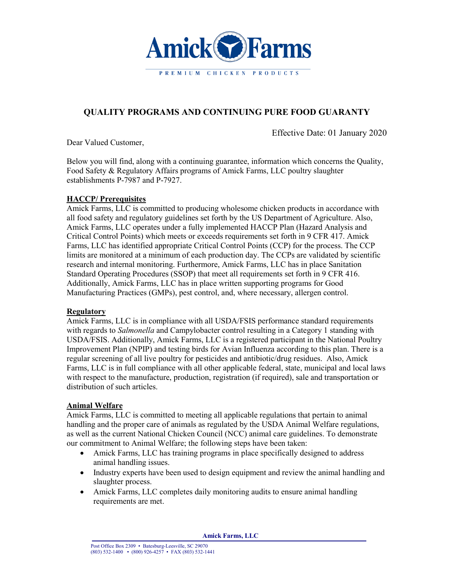

# **QUALITY PROGRAMS AND CONTINUING PURE FOOD GUARANTY**

Effective Date: 01 January 2020

Dear Valued Customer,

Below you will find, along with a continuing guarantee, information which concerns the Quality, Food Safety & Regulatory Affairs programs of Amick Farms, LLC poultry slaughter establishments P-7987 and P-7927.

# **HACCP/ Prerequisites**

Amick Farms, LLC is committed to producing wholesome chicken products in accordance with all food safety and regulatory guidelines set forth by the US Department of Agriculture. Also, Amick Farms, LLC operates under a fully implemented HACCP Plan (Hazard Analysis and Critical Control Points) which meets or exceeds requirements set forth in 9 CFR 417. Amick Farms, LLC has identified appropriate Critical Control Points (CCP) for the process. The CCP limits are monitored at a minimum of each production day. The CCPs are validated by scientific research and internal monitoring. Furthermore, Amick Farms, LLC has in place Sanitation Standard Operating Procedures (SSOP) that meet all requirements set forth in 9 CFR 416. Additionally, Amick Farms, LLC has in place written supporting programs for Good Manufacturing Practices (GMPs), pest control, and, where necessary, allergen control.

#### **Regulatory**

Amick Farms, LLC is in compliance with all USDA/FSIS performance standard requirements with regards to *Salmonella* and Campylobacter control resulting in a Category 1 standing with USDA/FSIS. Additionally, Amick Farms, LLC is a registered participant in the National Poultry Improvement Plan (NPIP) and testing birds for Avian Influenza according to this plan. There is a regular screening of all live poultry for pesticides and antibiotic/drug residues. Also, Amick Farms, LLC is in full compliance with all other applicable federal, state, municipal and local laws with respect to the manufacture, production, registration (if required), sale and transportation or distribution of such articles.

# **Animal Welfare**

Amick Farms, LLC is committed to meeting all applicable regulations that pertain to animal handling and the proper care of animals as regulated by the USDA Animal Welfare regulations, as well as the current National Chicken Council (NCC) animal care guidelines. To demonstrate our commitment to Animal Welfare; the following steps have been taken:

- Amick Farms, LLC has training programs in place specifically designed to address animal handling issues.
- Industry experts have been used to design equipment and review the animal handling and slaughter process.
- Amick Farms, LLC completes daily monitoring audits to ensure animal handling requirements are met.

**Amick Farms, LLC**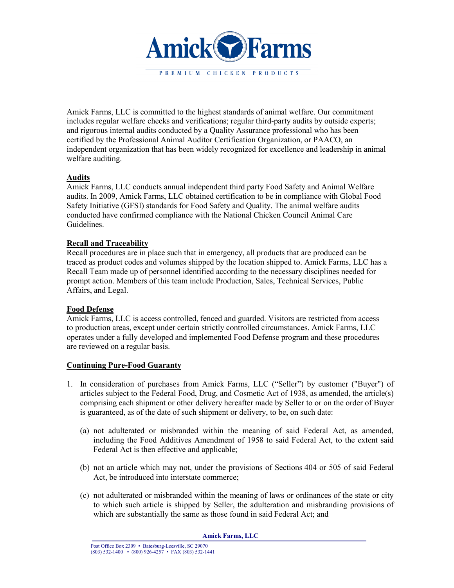

Amick Farms, LLC is committed to the highest standards of animal welfare. Our commitment includes regular welfare checks and verifications; regular third-party audits by outside experts; and rigorous internal audits conducted by a Quality Assurance professional who has been certified by the Professional Animal Auditor Certification Organization, or PAACO, an independent organization that has been widely recognized for excellence and leadership in animal welfare auditing.

## **Audits**

Amick Farms, LLC conducts annual independent third party Food Safety and Animal Welfare audits. In 2009, Amick Farms, LLC obtained certification to be in compliance with Global Food Safety Initiative (GFSI) standards for Food Safety and Quality. The animal welfare audits conducted have confirmed compliance with the National Chicken Council Animal Care Guidelines.

## **Recall and Traceability**

Recall procedures are in place such that in emergency, all products that are produced can be traced as product codes and volumes shipped by the location shipped to. Amick Farms, LLC has a Recall Team made up of personnel identified according to the necessary disciplines needed for prompt action. Members of this team include Production, Sales, Technical Services, Public Affairs, and Legal.

#### **Food Defense**

Amick Farms, LLC is access controlled, fenced and guarded. Visitors are restricted from access to production areas, except under certain strictly controlled circumstances. Amick Farms, LLC operates under a fully developed and implemented Food Defense program and these procedures are reviewed on a regular basis.

# **Continuing Pure-Food Guaranty**

- 1. In consideration of purchases from Amick Farms, LLC ("Seller") by customer ("Buyer") of articles subject to the Federal Food, Drug, and Cosmetic Act of 1938, as amended, the article(s) comprising each shipment or other delivery hereafter made by Seller to or on the order of Buyer is guaranteed, as of the date of such shipment or delivery, to be, on such date:
	- (a) not adulterated or misbranded within the meaning of said Federal Act, as amended, including the Food Additives Amendment of 1958 to said Federal Act, to the extent said Federal Act is then effective and applicable;
	- (b) not an article which may not, under the provisions of Sections 404 or 505 of said Federal Act, be introduced into interstate commerce;
	- (c) not adulterated or misbranded within the meaning of laws or ordinances of the state or city to which such article is shipped by Seller, the adulteration and misbranding provisions of which are substantially the same as those found in said Federal Act; and

**Amick Farms, LLC**